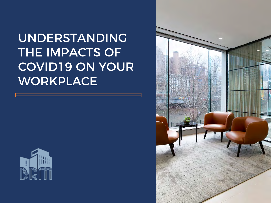UNDERSTANDING THE IMPACTS OF COVID19 ON YOUR WORKPLACE



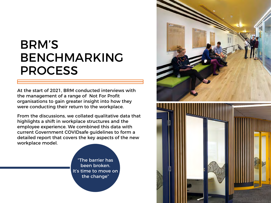## BRM'S BENCHMARKING PROCESS

At the start of 2021, BRM conducted interviews with the management of a range of Not For Profit organisations to gain greater insight into how they were conducting their return to the workplace.

From the discussions, we collated qualitative data that highlights a shift in workplace structures and the employee experience. We combined this data with current Government COVIDsafe guidelines to form a detailed report that covers the key aspects of the new workplace model.

> "The barrier has been broken. It's time to move on the change"

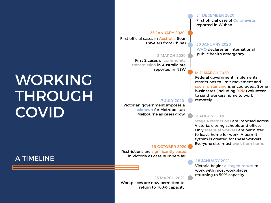# WORKING THROUGH **COVID**

### A TIMELINE

#### 25 JANUARY 2020

First official cases in Australia (four travelers from China)

#### 2 MARCH 2020

First 2 cases of community transmission in Australia are reported in NSW

#### 7 JULY 2020

Victorian government imposes a lockdown for Metropolitan Melbourne as cases grow

#### 19 OCTOBER 2020

Restrictions are significantly eased in Victoria as case numbers fall

#### 23 MARCH 2021

Workplaces are now permitted to return to 100% capacity

#### 31 DECEMBER 2020

First official case of Coronavirus reported in Wuhan

#### 30 JANUARY 2020

WHO declares an international public health emergency

#### MID MARCH 2020

Federal government implements restrictions to limit movement and social distancing is encouraged.. Some businesses (including BRM) volunteer to send workers home to work remotely.

#### 2 AUGUST 2020

Stage 4 restrictions are imposed across Victoria, closing schools and offices. Only essential workers are permitted to leave home for work. A permit system is created for these workers. Everyone else must work from home

#### 18 JANUARY 2021

Victoria begins a staged return to work with most workplaces returning to 50% capacity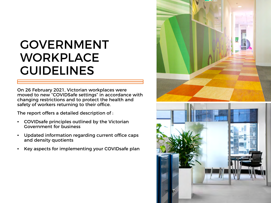## GOVERNMENT WORKPLACE GUIDELINES

On 26 February 2021, Victorian workplaces were moved to new "COVIDSafe settings" in accordance with changing restrictions and to protect the health and safety of workers returning to their office.

The report offers a detailed description of :

- COVIDsafe principles outlined by the Victorian Government for business
- Updated information regarding current office caps and density quotients
- Key aspects for implementing your COVIDsafe plan

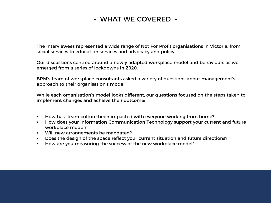## - WHAT WE COVERED -

The Interviewees represented a wide range of Not For Profit organisations in Victoria, from social services to education services and advocacy and policy.

Our discussions centred around a newly adapted workplace model and behaviours as we emerged from a series of lockdowns in 2020.

BRM's team of workplace consultants asked a variety of questions about management's approach to their organisation's model.

While each organisation's model looks different, our questions focused on the steps taken to implement changes and achieve their outcome:

- How has team culture been impacted with everyone working from home?
- How does your Information Communication Technology support your current and future workplace model?
- Will new arrangements be mandated?
- Does the design of the space reflect your current situation and future directions?
- How are you measuring the success of the new workplace model?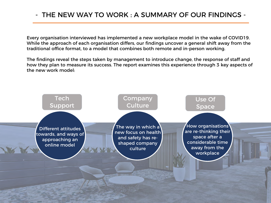## - THE NEW WAY TO WORK : A SUMMARY OF OUR FINDINGS -

Every organisation interviewed has implemented a new workplace model in the wake of COVID19. While the approach of each organisation differs, our findings uncover a general shift away from the traditional office format, to a model that combines both remote and in-person working.

The findings reveal the steps taken by management to introduce change, the response of staff and how they plan to measure its success. The report examines this experience through 3 key aspects of the new work model:

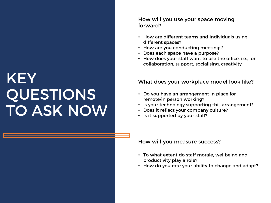# KEY QUESTIONS TO ASK NOW

#### How will you use your space moving forward?

- How are different teams and individuals using different spaces?
- How are you conducting meetings?
- Does each space have a purpose?
- How does your staff want to use the office, i.e., for collaboration, support, socialising, creativity

### What does your workplace model look like?

- Do you have an arrangement in place for remote/in person working?
- Is your technology supporting this arrangement?
- Does it reflect your company culture?
- Is it supported by your staff?

How will you measure success?

- To what extent do staff morale, wellbeing and productivity play a role?
- How do you rate your ability to change and adapt?